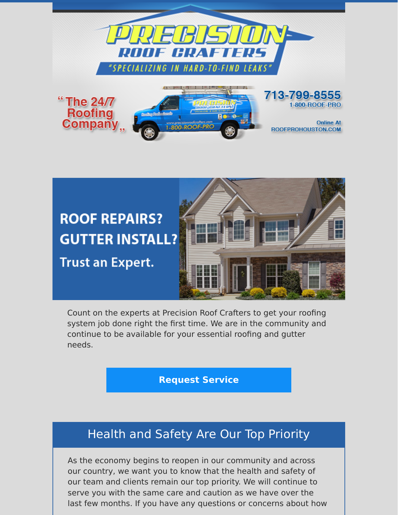



Count on the experts at Precision Roof Crafters to get your roofing system job done right the first time. We are in the community and continue to be available for your essential roofing and gutter needs.

### **[Request Service](https://www.precisionroofcrafters.com/contact-us.php)**

# Health and Safety Are Our Top Priority

As the economy begins to reopen in our community and across our country, we want you to know that the health and safety of our team and clients remain our top priority. We will continue to serve you with the same care and caution as we have over the last few months. If you have any questions or concerns about how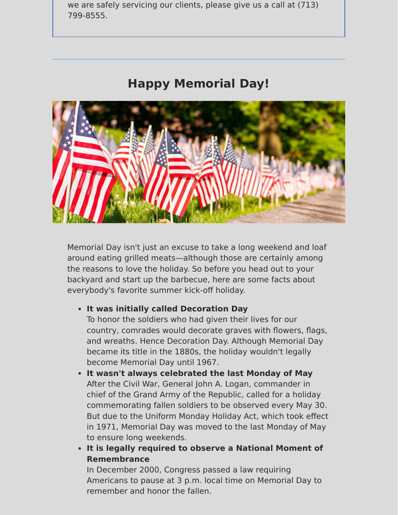we are safely servicing our clients, please give us a call at (713) 799-8555.

# **Happy Memorial Day!**



Memorial Day isn't just an excuse to take a long weekend and loaf around eating grilled meats—although those are certainly among the reasons to love the holiday. So before you head out to your backyard and start up the barbecue, here are some facts about everybody's favorite summer kick-off holiday.

#### **It was initially called Decoration Day**

To honor the soldiers who had given their lives for our country, comrades would decorate graves with flowers, flags, and wreaths. Hence Decoration Day. Although Memorial Day became its title in the 1880s, the holiday wouldn't legally become Memorial Day until 1967.

- **It wasn't always celebrated the last Monday of May** After the Civil War, General John A. Logan, commander in chief of the Grand Army of the Republic, called for a holiday commemorating fallen soldiers to be observed every May 30. But due to the Uniform Monday Holiday Act, which took effect in 1971, Memorial Day was moved to the last Monday of May to ensure long weekends.
- **It is legally required to observe a National Moment of Remembrance**

In December 2000, Congress passed a law requiring Americans to pause at 3 p.m. local time on Memorial Day to remember and honor the fallen.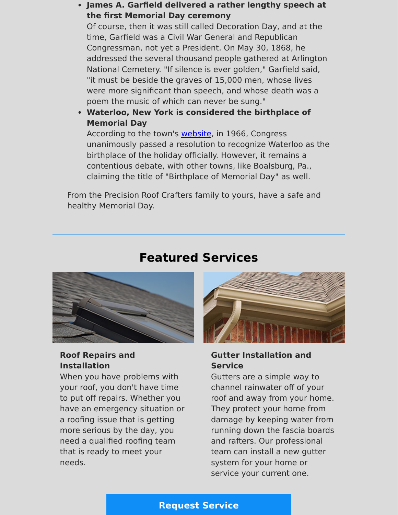#### **James A. Garfield delivered a rather lengthy speech at the first Memorial Day ceremony**

Of course, then it was still called Decoration Day, and at the time, Garfield was a Civil War General and Republican Congressman, not yet a President. On May 30, 1868, he addressed the several thousand people gathered at Arlington National Cemetery. "If silence is ever golden," Garfield said, "it must be beside the graves of 15,000 men, whose lives were more significant than speech, and whose death was a poem the music of which can never be sung."

**Waterloo, New York is considered the birthplace of Memorial Day**

According to the town's **website**, in 1966, Congress unanimously passed a resolution to recognize Waterloo as the birthplace of the holiday officially. However, it remains a contentious debate, with other towns, like Boalsburg, Pa., claiming the title of "Birthplace of Memorial Day" as well.

From the Precision Roof Crafters family to yours, have a safe and healthy Memorial Day.

# **Featured Services**



### **Roof Repairs and Installation**

When you have problems with your roof, you don't have time to put off repairs. Whether you have an emergency situation or a roofing issue that is getting more serious by the day, you need a qualified roofing team that is ready to meet your needs.



#### **Gutter Installation and Service**

Gutters are a simple way to channel rainwater off of your roof and away from your home. They protect your home from damage by keeping water from running down the fascia boards and rafters. Our professional team can install a new gutter system for your home or service your current one.

## **[Request Service](https://www.precisionroofcrafters.com/contact-us.php)**